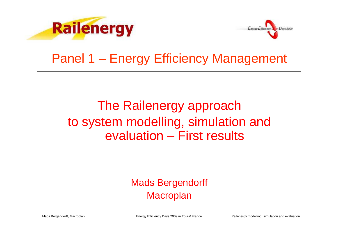



#### Panel 1 – Energy Efficiency Management

#### The Railenergy approach to system modelling, simulation and evaluation – First results

#### Mads Bergendorff**Macroplan**

Mads Bergendorff, Macroplan

Energy Efficiency Days 2009 in Tours/ France Railenergy modelling, simulation and evaluation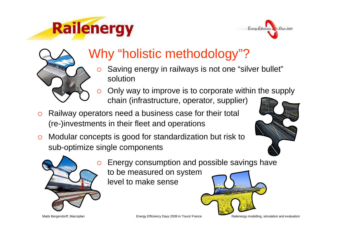# **Railenergy**





### Why "holistic methodology"?

- **Saving energy in railways is not one "silver bullet"** O solution
- O Only way to improve is to corporate within the supply chain (infrastructure, operator, supplier)
- $\circ$  Railway operators need a business case for their total (re-)investments in their fleet and operations
- O Modular concepts is good for standardization but risk to sub-optimize single components





 $\frac{1}{2}$  Energy consumption and possible savings have to be measured on system level to make sense

Energy Efficiency Days 2009 in Tours/ France Railenergy modelling, simulation and evaluation

Mads Bergendorff, Macroplan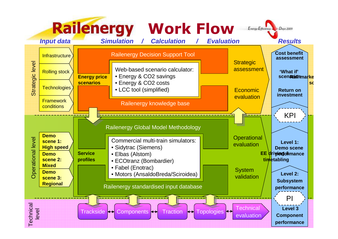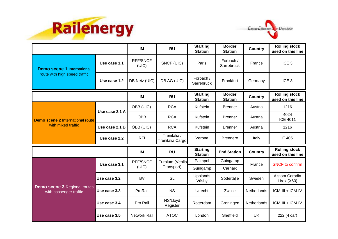



|                                                                    |                | IM                       | <b>RU</b>                        | <b>Starting</b><br><b>Station</b> | <b>Border</b><br><b>Station</b> | Country     | <b>Rolling stock</b><br>used on this line |
|--------------------------------------------------------------------|----------------|--------------------------|----------------------------------|-----------------------------------|---------------------------------|-------------|-------------------------------------------|
| <b>Demo scene 1</b> International<br>route with high speed traffic | Use case 1.1   | <b>RFF/SNCF</b><br>(UIC) | SNCF (UIC)                       | Paris                             | Forbach /<br>Sarrebruck         | France      | ICE <sub>3</sub>                          |
|                                                                    | Use case 1.2   | DB Netz (UIC)            | DB AG (UIC)                      | Forbach /<br>Sarrebruck           | Frankfurt                       | Germany     | ICE <sub>3</sub>                          |
|                                                                    |                | IM                       | <b>RU</b>                        | <b>Starting</b><br><b>Station</b> | <b>Border</b><br><b>Station</b> | Country     | <b>Rolling stock</b><br>used on this line |
| Demo scene 2 International route<br>with mixed traffic             | Use case 2.1 A | ÖBB (UIC)                | <b>RCA</b>                       | Kufstein                          | <b>Brenner</b>                  | Austria     | 1216                                      |
|                                                                    |                | ÖBB                      | <b>RCA</b>                       | Kufstein                          | <b>Brenner</b>                  | Austria     | 4024<br><b>ICE 4011</b>                   |
|                                                                    | Use case 2.1 B | ÖBB (UIC)                | <b>RCA</b>                       | Kufstein                          | <b>Brenner</b>                  | Austria     | 1216                                      |
|                                                                    | Use case 2.2   | <b>RFI</b>               | Trenitalia /<br>Trenitalia Cargo | Verona                            | <b>Brennero</b>                 | Italy       | E 405                                     |
|                                                                    |                | IM                       | <b>RU</b>                        | <b>Starting</b><br><b>Station</b> | <b>End Station</b>              | Country     | <b>Rolling stock</b><br>used on this line |
| <b>Demo scene 3 Regional routes</b><br>with passenger traffic      | Use case 3.1   | <b>RFF/SNCF</b><br>(UIC) | Eurolum (Veolia<br>Transport)    | Paimpol                           | Guingamp                        | France      | <b>SNCF</b> to confirm                    |
|                                                                    |                |                          |                                  | Guingamp                          | Carhaix                         |             |                                           |
|                                                                    | Use case 3.2   | <b>BV</b>                | <b>SL</b>                        | Upplands<br>Väsby                 | Södertälje                      | Sweden      | Alstom Coradia<br>Lirex (X60)             |
|                                                                    | Use case 3.3   | ProRail                  | <b>NS</b>                        | <b>Utrecht</b>                    | Zwolle                          | Netherlands | ICM-III + ICM-IV                          |
|                                                                    | Use case 3.4   | Pro Rail                 | NS/Lloyd<br>Register             | Rotterdam                         | Groningen                       | Netherlands | ICM-III + ICM-IV                          |
|                                                                    | Use case 3.5   | <b>Network Rail</b>      | <b>ATOC</b>                      | London                            | Sheffield                       | <b>UK</b>   | 222 (4 car)                               |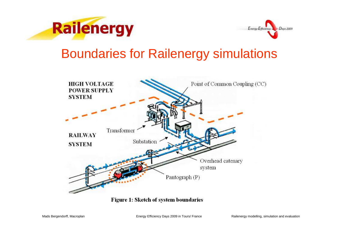



#### Boundaries for Railenergy simulations



Figure 1: Sketch of system boundaries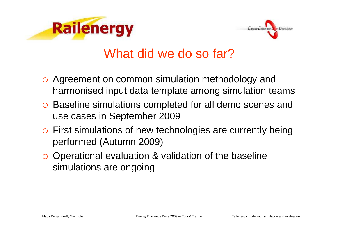



#### What did we do so far?

- Agreement on common simulation methodology and harmonised input data template among simulation teams
- o Baseline simulations completed for all demo scenes and use cases in September 2009
- o First simulations of new technologies are currently being performed (Autumn 2009)
- o Operational evaluation & validation of the baseline simulations are ongoing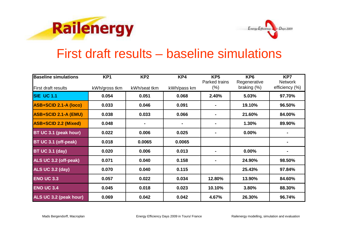



#### First draft results – baseline simulations

| <b>Baseline simulations</b>  | KP <sub>1</sub> | KP <sub>2</sub> | KP4         | KP <sub>5</sub><br>Parked trains | KP <sub>6</sub><br>Regenerative | KP <sub>7</sub><br><b>Network</b> |
|------------------------------|-----------------|-----------------|-------------|----------------------------------|---------------------------------|-----------------------------------|
| <b>First draft results</b>   | kWh/gross tkm   | kWh/seat tkm    | kWh/pass km | $(\% )$                          | braking (%)                     | efficiency (%)                    |
| <b>SIE UC 1.1</b>            | 0.054           | 0.051           | 0.068       | 2.40%                            | 5.03%                           | 97.70%                            |
| <b>ASB+SCID 2.1-A (loco)</b> | 0.033           | 0.046           | 0.091       |                                  | 19.10%                          | 96.50%                            |
| <b>ASB+SCID 2.1-A (EMU)</b>  | 0.038           | 0.033           | 0.066       | $\blacksquare$                   | 21.60%                          | 84.00%                            |
| <b>ASB+SCID 2.2 (Mixed)</b>  | 0.048           |                 |             | $\blacksquare$                   | 1.30%                           | 89.90%                            |
| BT UC 3.1 (peak hour)        | 0.022           | 0.006           | 0.025       | $\blacksquare$                   | 0.00%                           |                                   |
| BT UC 3.1 (off-peak)         | 0.018           | 0.0065          | 0.0065      |                                  |                                 |                                   |
| <b>BT UC 3.1 (day)</b>       | 0.020           | 0.006           | 0.013       | $\blacksquare$                   | 0.00%                           |                                   |
| ALS UC 3.2 (off-peak)        | 0.071           | 0.040           | 0.158       | $\blacksquare$                   | 24.90%                          | 98.50%                            |
| <b>ALS UC 3.2 (day)</b>      | 0.070           | 0.040           | 0.115       |                                  | 25.43%                          | 97.84%                            |
| <b>ENO UC 3.3</b>            | 0.057           | 0.022           | 0.034       | 12.80%                           | 13.90%                          | 84.60%                            |
| <b>ENO UC 3.4</b>            | 0.045           | 0.018           | 0.023       | 10.10%                           | 3.80%                           | 88.30%                            |
| ALS UC 3.2 (peak hour)       | 0.069           | 0.042           | 0.042       | 4.67%                            | 26.30%                          | 96.74%                            |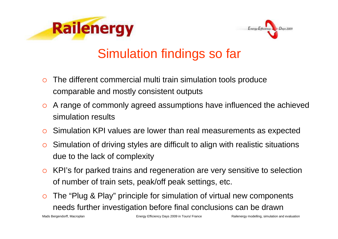



#### Simulation findings so far

- $\Omega$  The different commercial multi train simulation tools produce comparable and mostly consistent outputs
- O A range of commonly agreed assumptions have influenced the achieved simulation results
- O Simulation KPI values are lower than real measurements as expected
- $\Omega$  Simulation of driving styles are difficult to align with realistic situations due to the lack of complexity
- $\circ$  KPI's for parked trains and regeneration are very sensitive to selection of number of train sets, peak/off peak settings, etc.
- O The "Plug & Play" principle for simulation of virtual new components needs further investigation before final conclusions can be drawn

Mads Bergendorff, Macroplan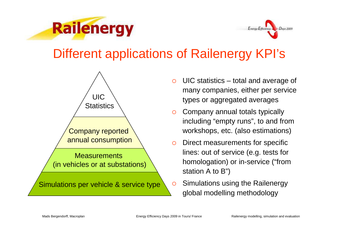



#### Different applications of Railenergy KPI's



- O UIC statistics – total and average of many companies, either per service types or aggregated averages
- $\Omega$  Company annual totals typically including "empty runs", to and from workshops, etc. (also estimations)
- $\circ$  Direct measurements for specific lines: out of service (e.g. tests for homologation) or in-service ("from station A to B")
- $\Omega$  Simulations using the Railenergy global modelling methodology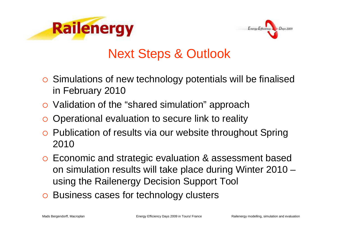



#### Next Steps & Outlook

- o Simulations of new technology potentials will be finalised in February 2010
- o Validation of the "shared simulation" approach
- $\bigcirc$ Operational evaluation to secure link to reality
- o Publication of results via our website throughout Spring 2010
- o Economic and strategic evaluation & assessment based on simulation results will take place during Winter 2010 –using the Railenergy Decision Support Tool
- o Business cases for technology clusters